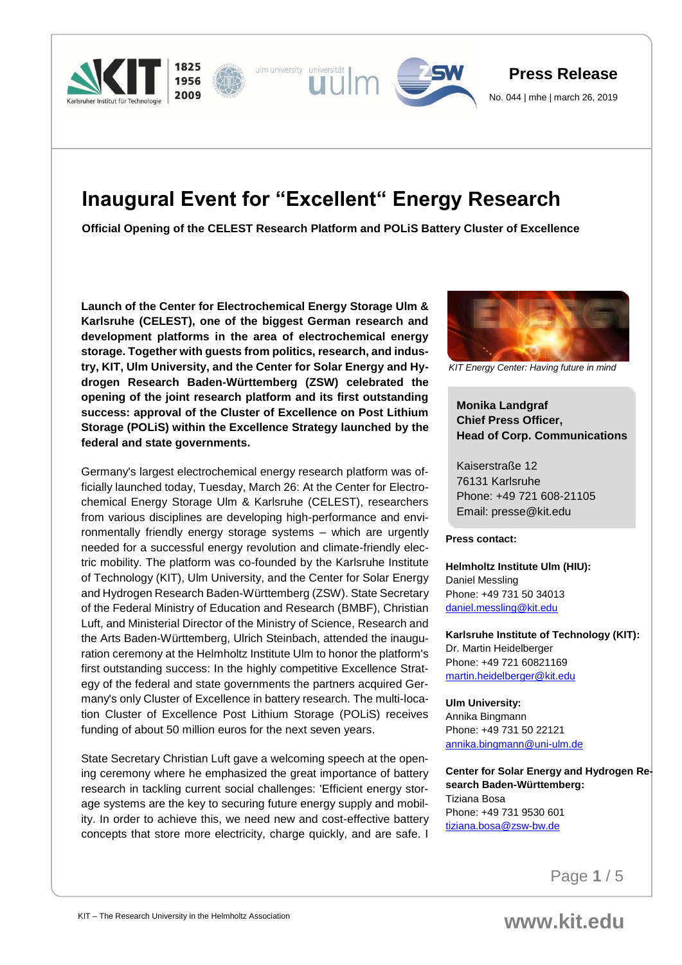

# **Inaugural Event for "Excellent" Energy Research**

**Official Opening of the CELEST Research Platform and POLiS Battery Cluster of Excellence**

**Launch of the Center for Electrochemical Energy Storage Ulm & Karlsruhe (CELEST), one of the biggest German research and development platforms in the area of electrochemical energy storage. Together with guests from politics, research, and industry, KIT, Ulm University, and the Center for Solar Energy and Hydrogen Research Baden-Württemberg (ZSW) celebrated the opening of the joint research platform and its first outstanding success: approval of the Cluster of Excellence on Post Lithium Storage (POLiS) within the Excellence Strategy launched by the federal and state governments.**

Germany's largest electrochemical energy research platform was officially launched today, Tuesday, March 26: At the Center for Electrochemical Energy Storage Ulm & Karlsruhe (CELEST), researchers from various disciplines are developing high-performance and environmentally friendly energy storage systems – which are urgently needed for a successful energy revolution and climate-friendly electric mobility. The platform was co-founded by the Karlsruhe Institute of Technology (KIT), Ulm University, and the Center for Solar Energy and Hydrogen Research Baden-Württemberg (ZSW). State Secretary of the Federal Ministry of Education and Research (BMBF), Christian Luft, and Ministerial Director of the Ministry of Science, Research and the Arts Baden-Württemberg, Ulrich Steinbach, attended the inauguration ceremony at the Helmholtz Institute Ulm to honor the platform's first outstanding success: In the highly competitive Excellence Strategy of the federal and state governments the partners acquired Germany's only Cluster of Excellence in battery research. The multi-location Cluster of Excellence Post Lithium Storage (POLiS) receives funding of about 50 million euros for the next seven years.

State Secretary Christian Luft gave a welcoming speech at the opening ceremony where he emphasized the great importance of battery research in tackling current social challenges: 'Efficient energy storage systems are the key to securing future energy supply and mobility. In order to achieve this, we need new and cost-effective battery concepts that store more electricity, charge quickly, and are safe. I



*KIT Energy Center: Having future in mind*

## **Monika Landgraf Chief Press Officer, Head of Corp. Communications**

Kaiserstraße 12 76131 Karlsruhe Phone: +49 721 608-21105 Email: presse@kit.edu

#### **Press contact:**

**Helmholtz Institute Ulm (HIU):** Daniel Messling Phone: +49 731 50 34013 [daniel.messling@kit.edu](mailto:daniel.messling@kit.edu)

**Karlsruhe Institute of Technology (KIT):** Dr. Martin Heidelberger Phone: +49 721 60821169 [martin.heidelberger@kit.edu](mailto:martin.heidelberger@kit.edu)

#### **Ulm University:**

Annika Bingmann Phone: +49 731 50 22121 [annika.bingmann@uni-ulm.de](mailto:annika.bingmann@uni-ulm.de)

**Center for Solar Energy and Hydrogen Research Baden-Württemberg:** Tiziana Bosa Phone: +49 731 9530 601 [tiziana.bosa@zsw-bw.de](mailto:tiziana.bosa@zsw-bw.de)

Page **1** / 5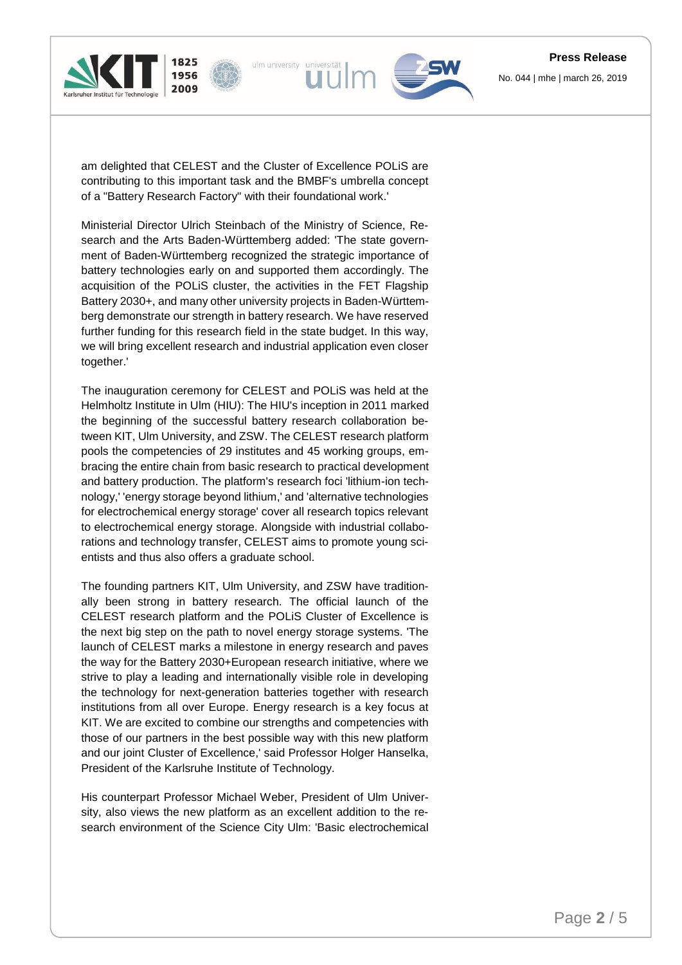







am delighted that CELEST and the Cluster of Excellence POLiS are contributing to this important task and the BMBF's umbrella concept of a "Battery Research Factory" with their foundational work.'

Ministerial Director Ulrich Steinbach of the Ministry of Science, Research and the Arts Baden-Württemberg added: 'The state government of Baden-Württemberg recognized the strategic importance of battery technologies early on and supported them accordingly. The acquisition of the POLiS cluster, the activities in the FET Flagship Battery 2030+, and many other university projects in Baden-Württemberg demonstrate our strength in battery research. We have reserved further funding for this research field in the state budget. In this way, we will bring excellent research and industrial application even closer together.'

The inauguration ceremony for CELEST and POLiS was held at the Helmholtz Institute in Ulm (HIU): The HIU's inception in 2011 marked the beginning of the successful battery research collaboration between KIT, Ulm University, and ZSW. The CELEST research platform pools the competencies of 29 institutes and 45 working groups, embracing the entire chain from basic research to practical development and battery production. The platform's research foci 'lithium-ion technology,' 'energy storage beyond lithium,' and 'alternative technologies for electrochemical energy storage' cover all research topics relevant to electrochemical energy storage. Alongside with industrial collaborations and technology transfer, CELEST aims to promote young scientists and thus also offers a graduate school.

The founding partners KIT, Ulm University, and ZSW have traditionally been strong in battery research. The official launch of the CELEST research platform and the POLiS Cluster of Excellence is the next big step on the path to novel energy storage systems. 'The launch of CELEST marks a milestone in energy research and paves the way for the Battery 2030+European research initiative, where we strive to play a leading and internationally visible role in developing the technology for next-generation batteries together with research institutions from all over Europe. Energy research is a key focus at KIT. We are excited to combine our strengths and competencies with those of our partners in the best possible way with this new platform and our joint Cluster of Excellence,' said Professor Holger Hanselka, President of the Karlsruhe Institute of Technology.

His counterpart Professor Michael Weber, President of Ulm University, also views the new platform as an excellent addition to the research environment of the Science City Ulm: 'Basic electrochemical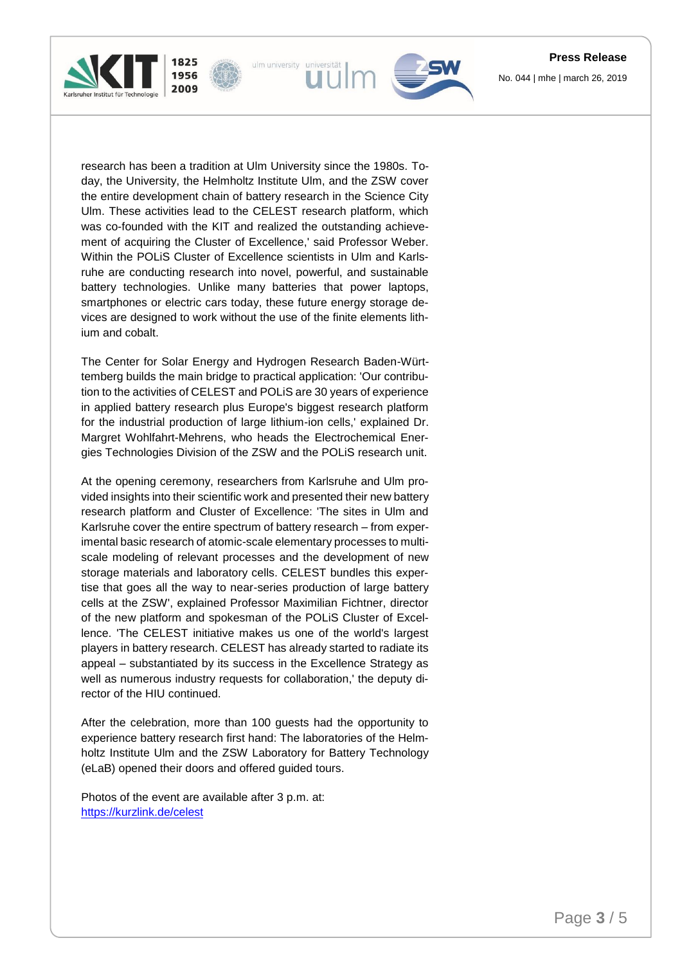



ulm university universität

1825

1956 2009

The Center for Solar Energy and Hydrogen Research Baden-Württemberg builds the main bridge to practical application: 'Our contribution to the activities of CELEST and POLiS are 30 years of experience in applied battery research plus Europe's biggest research platform for the industrial production of large lithium-ion cells,' explained Dr. Margret Wohlfahrt-Mehrens, who heads the Electrochemical Energies Technologies Division of the ZSW and the POLiS research unit.

At the opening ceremony, researchers from Karlsruhe and Ulm provided insights into their scientific work and presented their new battery research platform and Cluster of Excellence: 'The sites in Ulm and Karlsruhe cover the entire spectrum of battery research – from experimental basic research of atomic-scale elementary processes to multiscale modeling of relevant processes and the development of new storage materials and laboratory cells. CELEST bundles this expertise that goes all the way to near-series production of large battery cells at the ZSW', explained Professor Maximilian Fichtner, director of the new platform and spokesman of the POLiS Cluster of Excellence. 'The CELEST initiative makes us one of the world's largest players in battery research. CELEST has already started to radiate its appeal – substantiated by its success in the Excellence Strategy as well as numerous industry requests for collaboration,' the deputy director of the HIU continued.

After the celebration, more than 100 guests had the opportunity to experience battery research first hand: The laboratories of the Helmholtz Institute Ulm and the ZSW Laboratory for Battery Technology (eLaB) opened their doors and offered guided tours.

Photos of the event are available after 3 p.m. at: <https://kurzlink.de/celest>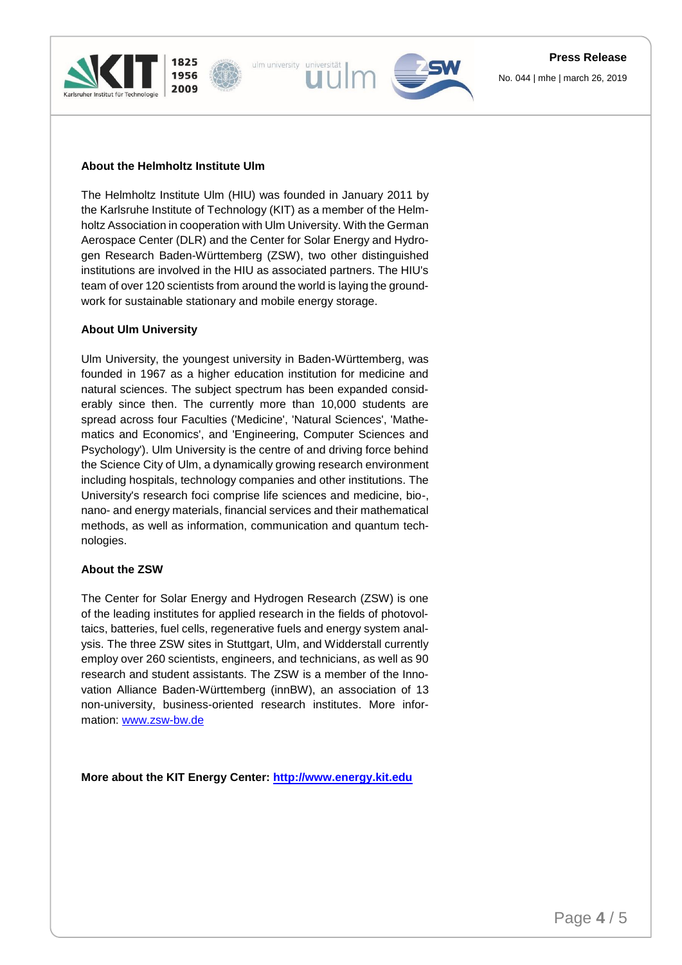







## **About the Helmholtz Institute Ulm**

The Helmholtz Institute Ulm (HIU) was founded in January 2011 by the Karlsruhe Institute of Technology (KIT) as a member of the Helmholtz Association in cooperation with Ulm University. With the German Aerospace Center (DLR) and the Center for Solar Energy and Hydrogen Research Baden-Württemberg (ZSW), two other distinguished institutions are involved in the HIU as associated partners. The HIU's team of over 120 scientists from around the world is laying the groundwork for sustainable stationary and mobile energy storage.

## **About Ulm University**

Ulm University, the youngest university in Baden-Württemberg, was founded in 1967 as a higher education institution for medicine and natural sciences. The subject spectrum has been expanded considerably since then. The currently more than 10,000 students are spread across four Faculties ('Medicine', 'Natural Sciences', 'Mathematics and Economics', and 'Engineering, Computer Sciences and Psychology'). Ulm University is the centre of and driving force behind the Science City of Ulm, a dynamically growing research environment including hospitals, technology companies and other institutions. The University's research foci comprise life sciences and medicine, bio-, nano- and energy materials, financial services and their mathematical methods, as well as information, communication and quantum technologies.

### **About the ZSW**

The Center for Solar Energy and Hydrogen Research (ZSW) is one of the leading institutes for applied research in the fields of photovoltaics, batteries, fuel cells, regenerative fuels and energy system analysis. The three ZSW sites in Stuttgart, Ulm, and Widderstall currently employ over 260 scientists, engineers, and technicians, as well as 90 research and student assistants. The ZSW is a member of the Innovation Alliance Baden-Württemberg (innBW), an association of 13 non-university, business-oriented research institutes. More information: [www.zsw-bw.de](http://www.zsw-bw.de/)

**More about the KIT Energy Center: [http://www.energy.kit.edu](http://www.energy.kit.edu/)**